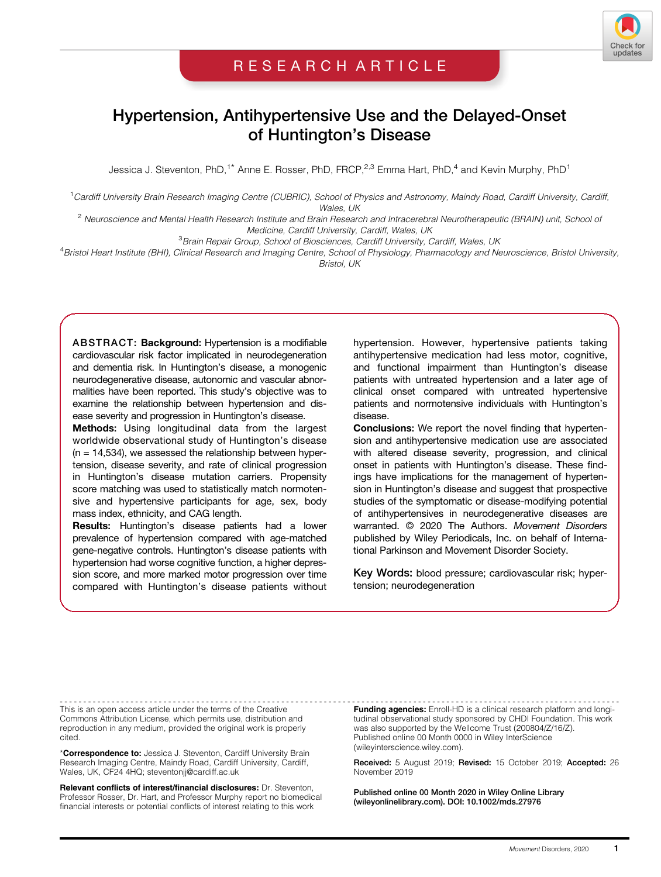

# Hypertension, Antihypertensive Use and the Delayed-Onset of Huntington's Disease

Jessica J. Steventon, PhD,<sup>1\*</sup> Anne E. Rosser, PhD, FRCP,<sup>2,3</sup> Emma Hart, PhD,<sup>4</sup> and Kevin Murphy, PhD<sup>1</sup>

<sup>1</sup>Cardiff University Brain Research Imaging Centre (CUBRIC), School of Physics and Astronomy, Maindy Road, Cardiff University, Cardiff, Wales, UK <sup>2</sup> Neuroscience and Mental Health Research Institute and Brain Research and Intracerebral Neurotherapeutic (BRAIN) unit, School of

Medicine, Cardiff University, Cardiff, Wales, UK

<sup>3</sup> Brain Repair Group, School of Biosciences, Cardiff University, Cardiff, Wales, UK

<sup>3</sup>Brain Repair Group, School of Biosciences, Cardiff University, Cardiff, Wales, UK<sup>3</sup><br>Bristol Heart Institute (BHI), Clinical Research and Imaging Centre, School of Physiology, Pharmacology and Neuroscience, Bristol Univ Bristol, UK

ABSTRACT: Background: Hypertension is a modifiable cardiovascular risk factor implicated in neurodegeneration and dementia risk. In Huntington's disease, a monogenic neurodegenerative disease, autonomic and vascular abnormalities have been reported. This study's objective was to examine the relationship between hypertension and disease severity and progression in Huntington's disease.

Methods: Using longitudinal data from the largest worldwide observational study of Huntington's disease  $(n = 14,534)$ , we assessed the relationship between hypertension, disease severity, and rate of clinical progression in Huntington's disease mutation carriers. Propensity score matching was used to statistically match normotensive and hypertensive participants for age, sex, body mass index, ethnicity, and CAG length.

Results: Huntington's disease patients had a lower prevalence of hypertension compared with age-matched gene-negative controls. Huntington's disease patients with hypertension had worse cognitive function, a higher depression score, and more marked motor progression over time compared with Huntington's disease patients without

hypertension. However, hypertensive patients taking antihypertensive medication had less motor, cognitive, and functional impairment than Huntington's disease patients with untreated hypertension and a later age of clinical onset compared with untreated hypertensive patients and normotensive individuals with Huntington's disease.

Conclusions: We report the novel finding that hypertension and antihypertensive medication use are associated with altered disease severity, progression, and clinical onset in patients with Huntington's disease. These findings have implications for the management of hypertension in Huntington's disease and suggest that prospective studies of the symptomatic or disease-modifying potential of antihypertensives in neurodegenerative diseases are warranted. © 2020 The Authors. Movement Disorders published by Wiley Periodicals, Inc. on behalf of International Parkinson and Movement Disorder Society.

Key Words: blood pressure; cardiovascular risk; hypertension; neurodegeneration

This is an open access article under the terms of the [Creative](http://creativecommons.org/licenses/by/4.0/) [Commons Attribution](http://creativecommons.org/licenses/by/4.0/) License, which permits use, distribution and reproduction in any medium, provided the original work is properly cited.

\*Correspondence to: Jessica J. Steventon, Cardiff University Brain Research Imaging Centre, Maindy Road, Cardiff University, Cardiff, Wales, UK, CF24 4HQ; [steventonjj@cardiff.ac.uk](mailto:steventonjj@cardiff.ac.uk)

Relevant conflicts of interest/financial disclosures: Dr. Steventon, Professor Rosser, Dr. Hart, and Professor Murphy report no biomedical financial interests or potential conflicts of interest relating to this work

----------------------------------------------------------------------------------------------------------------------- Funding agencies: Enroll-HD is a clinical research platform and longitudinal observational study sponsored by CHDI Foundation. This work was also supported by the Wellcome Trust (200804/Z/16/Z). Published online 00 Month 0000 in Wiley InterScience [\(wileyinterscience.wiley.com](http://wileyinterscience.wiley.com)).

> Received: 5 August 2019; Revised: 15 October 2019; Accepted: 26 November 2019

Published online 00 Month 2020 in Wiley Online Library (wileyonlinelibrary.com). DOI: 10.1002/mds.27976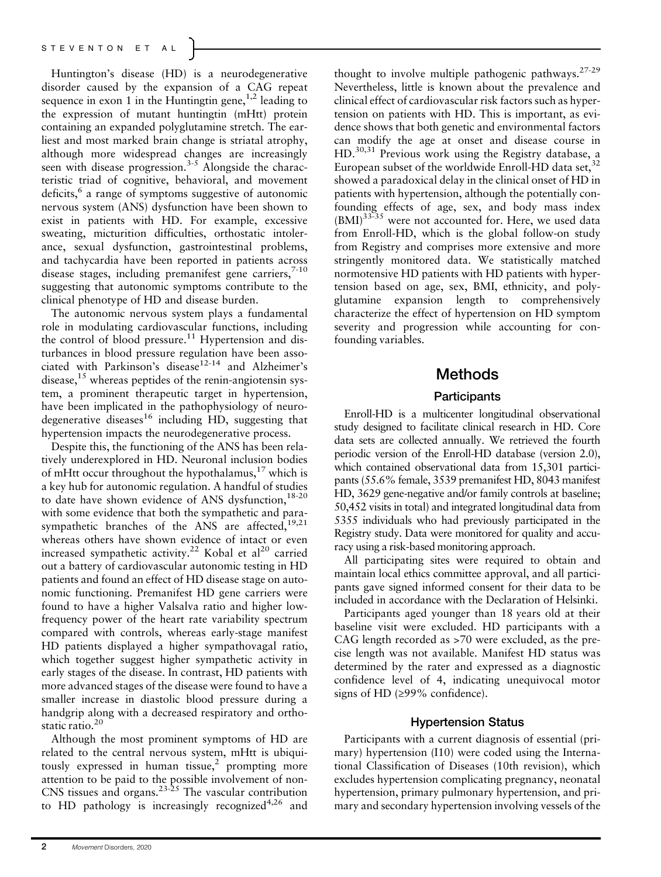Huntington's disease (HD) is a neurodegenerative disorder caused by the expansion of a CAG repeat sequence in exon 1 in the Huntingtin gene,  $1,2$  leading to the expression of mutant huntingtin (mHtt) protein containing an expanded polyglutamine stretch. The earliest and most marked brain change is striatal atrophy, although more widespread changes are increasingly seen with disease progression.<sup>3-5</sup> Alongside the characteristic triad of cognitive, behavioral, and movement deficits, $6$  a range of symptoms suggestive of autonomic nervous system (ANS) dysfunction have been shown to exist in patients with HD. For example, excessive sweating, micturition difficulties, orthostatic intolerance, sexual dysfunction, gastrointestinal problems, and tachycardia have been reported in patients across disease stages, including premanifest gene carriers,  $7-10$ suggesting that autonomic symptoms contribute to the clinical phenotype of HD and disease burden.

The autonomic nervous system plays a fundamental role in modulating cardiovascular functions, including the control of blood pressure.<sup>11</sup> Hypertension and disturbances in blood pressure regulation have been associated with Parkinson's disease<sup>12-14</sup> and Alzheimer's disease,  $15$  whereas peptides of the renin-angiotensin system, a prominent therapeutic target in hypertension, have been implicated in the pathophysiology of neurodegenerative diseases $16$  including HD, suggesting that hypertension impacts the neurodegenerative process.

Despite this, the functioning of the ANS has been relatively underexplored in HD. Neuronal inclusion bodies of mHtt occur throughout the hypothalamus, $17$  which is a key hub for autonomic regulation. A handful of studies to date have shown evidence of ANS dysfunction,  $18-20$ with some evidence that both the sympathetic and parasympathetic branches of the ANS are affected, $19,21$ whereas others have shown evidence of intact or even increased sympathetic activity.<sup>22</sup> Kobal et al<sup>20</sup> carried out a battery of cardiovascular autonomic testing in HD patients and found an effect of HD disease stage on autonomic functioning. Premanifest HD gene carriers were found to have a higher Valsalva ratio and higher lowfrequency power of the heart rate variability spectrum compared with controls, whereas early-stage manifest HD patients displayed a higher sympathovagal ratio, which together suggest higher sympathetic activity in early stages of the disease. In contrast, HD patients with more advanced stages of the disease were found to have a smaller increase in diastolic blood pressure during a handgrip along with a decreased respiratory and orthostatic ratio.<sup>20</sup>

Although the most prominent symptoms of HD are related to the central nervous system, mHtt is ubiquitously expressed in human tissue, $2$  prompting more attention to be paid to the possible involvement of non-CNS tissues and organs.<sup>23-25</sup> The vascular contribution to HD pathology is increasingly recognized<sup>4,26</sup> and thought to involve multiple pathogenic pathways.  $27-29$ Nevertheless, little is known about the prevalence and clinical effect of cardiovascular risk factors such as hypertension on patients with HD. This is important, as evidence shows that both genetic and environmental factors can modify the age at onset and disease course in HD.30,31 Previous work using the Registry database, a European subset of the worldwide Enroll-HD data set.<sup>32</sup> showed a paradoxical delay in the clinical onset of HD in patients with hypertension, although the potentially confounding effects of age, sex, and body mass index  $(BMI)^{33-35}$  were not accounted for. Here, we used data from Enroll-HD, which is the global follow-on study from Registry and comprises more extensive and more stringently monitored data. We statistically matched normotensive HD patients with HD patients with hypertension based on age, sex, BMI, ethnicity, and polyglutamine expansion length to comprehensively characterize the effect of hypertension on HD symptom severity and progression while accounting for confounding variables.

## Methods

### **Participants**

Enroll-HD is a multicenter longitudinal observational study designed to facilitate clinical research in HD. Core data sets are collected annually. We retrieved the fourth periodic version of the Enroll-HD database (version 2.0), which contained observational data from 15,301 participants (55.6% female, 3539 premanifest HD, 8043 manifest HD, 3629 gene-negative and/or family controls at baseline; 50,452 visits in total) and integrated longitudinal data from 5355 individuals who had previously participated in the Registry study. Data were monitored for quality and accuracy using a risk-based monitoring approach.

All participating sites were required to obtain and maintain local ethics committee approval, and all participants gave signed informed consent for their data to be included in accordance with the Declaration of Helsinki.

Participants aged younger than 18 years old at their baseline visit were excluded. HD participants with a CAG length recorded as >70 were excluded, as the precise length was not available. Manifest HD status was determined by the rater and expressed as a diagnostic confidence level of 4, indicating unequivocal motor signs of HD (≥99% confidence).

#### Hypertension Status

Participants with a current diagnosis of essential (primary) hypertension (I10) were coded using the International Classification of Diseases (10th revision), which excludes hypertension complicating pregnancy, neonatal hypertension, primary pulmonary hypertension, and primary and secondary hypertension involving vessels of the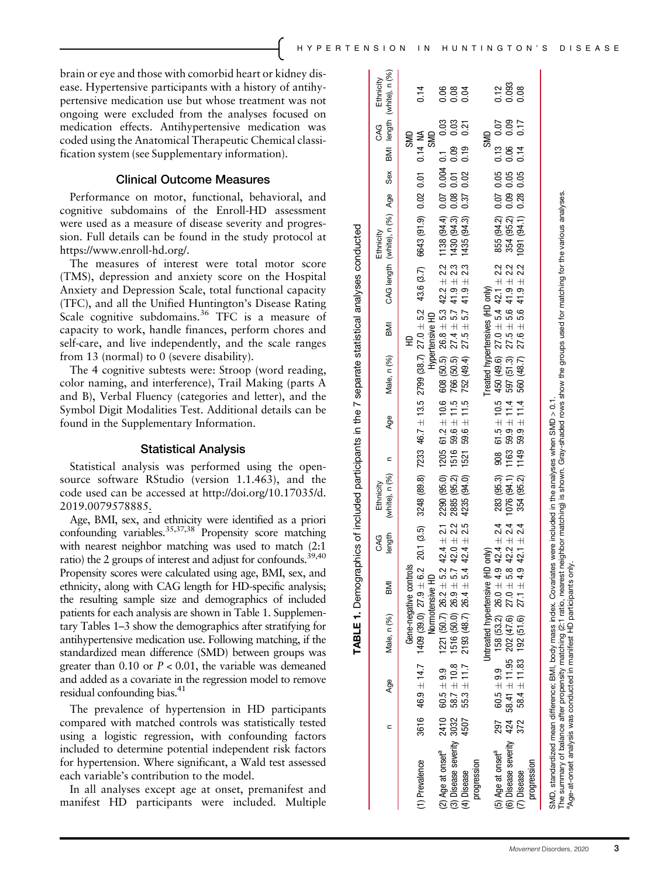brain or eye and those with comorbid heart or kidney disease. Hypertensive participants with a history of antihypertensive medication use but whose treatment was not ongoing were excluded from the analyses focused on medication effects. Antihypertensive medication was coded using the Anatomical Therapeutic Chemical classification system (see Supplementary information).

#### Clinical Outcome Measures

Performance on motor, functional, behavioral, and cognitive subdomains of the Enroll-HD assessment were used as a measure of disease severity and progression. Full details can be found in the study protocol at <https://www.enroll-hd.org/>.

The measures of interest were total motor score (TMS), depression and anxiety score on the Hospital Anxiety and Depression Scale, total functional capacity (TFC), and all the Unified Huntington's Disease Rating Scale cognitive subdomains.<sup>36</sup> TFC is a measure of capacity to work, handle finances, perform chores and self-care, and live independently, and the scale ranges from 13 (normal) to 0 (severe disability).

The 4 cognitive subtests were: Stroop (word reading, color naming, and interference), Trail Making (parts A and B), Verbal Fluency (categories and letter), and the Symbol Digit Modalities Test. Additional details can be found in the Supplementary Information.

#### Statistical Analysis

Statistical analysis was performed using the opensource software RStudio (version 1.1.463), and the code used can be accessed at [http://doi.org/10.17035/d.](http://doi.org/10.17035/d.2019.0079578885) [2019.0079578885](http://doi.org/10.17035/d.2019.0079578885).

Age, BMI, sex, and ethnicity were identified as a priori confounding variables.  $35,37,38$  Propensity score matching with nearest neighbor matching was used to match  $(2.1)$ ratio) the 2 groups of interest and adjust for confounds.<sup>39,40</sup> Propensity scores were calculated using age, BMI, sex, and ethnicity, along with CAG length for HD-specific analysis; the resulting sample size and demographics of included patients for each analysis are shown in Table 1. Supplementary Tables 1–3 show the demographics after stratifying for antihypertensive medication use. Following matching, if the standardized mean difference (SMD) between groups was greater than 0.10 or  $P < 0.01$ , the variable was demeaned and added as a covariate in the regression model to remove residual confounding bias.<sup>41</sup>

The prevalence of hypertension in HD participants compared with matched controls was statistically tested using a logistic regression, with confounding factors included to determine potential independent risk factors for hypertension. Where significant, a Wald test assessed each variable's contribution to the model.

In all analyses except age at onset, premanifest and manifest HD participants were included. Multiple

|                                                                                                                                                                                                                                                                   |                   |                                                                                                           |                                                                                         |                                           |                                                             |                                                          |             | TABLE 1. Demographics of included participants in the 7 separate statistical analyses conducted                                  |             |                                                                             |                                                                                    |                                        |             |                                                                                           |                                                  |
|-------------------------------------------------------------------------------------------------------------------------------------------------------------------------------------------------------------------------------------------------------------------|-------------------|-----------------------------------------------------------------------------------------------------------|-----------------------------------------------------------------------------------------|-------------------------------------------|-------------------------------------------------------------|----------------------------------------------------------|-------------|----------------------------------------------------------------------------------------------------------------------------------|-------------|-----------------------------------------------------------------------------|------------------------------------------------------------------------------------|----------------------------------------|-------------|-------------------------------------------------------------------------------------------|--------------------------------------------------|
|                                                                                                                                                                                                                                                                   |                   | Age                                                                                                       | Male, n (%)                                                                             | <b>IINB</b>                               | length<br>CAG                                               | (white), n (%)<br>Ethnicity                              | Ξ           | Age                                                                                                                              | Male, n (%) | <b>IMB</b>                                                                  | CAG length (white), n (%) Age<br>Ethnicity                                         |                                        | Sex         | CAG                                                                                       | BMI length (white), n (%)<br>Ethnicity           |
| 1) Prevalence                                                                                                                                                                                                                                                     | 3616              | $46.9 \pm 14.7$                                                                                           | $1409(39.0) 27.9 \pm 6.2$                                                               | Gene-negative controls<br>Normotensive HD | 20.1 (3.5)                                                  |                                                          |             | $3248(89.8)$ $7233$ $46.7 \pm 13.5$ $2799(38.7)$ $27.0 \pm 5.2$ $43.6$ $(3.7)$ $6643(91.9)$ $0.02$ $0.01$                        |             | Hypertensive HD                                                             |                                                                                    |                                        |             | 0.14 NA<br>SMD<br>SMD                                                                     | 0.14                                             |
| (3) Disease severity 3032<br>(2) Age at onset <sup>a</sup><br>progression<br>(4) Disease                                                                                                                                                                          | 2410<br>4507      | $58.7 \pm 10.8$<br>$55.3 \pm 11.7$<br>$60.5 + 9.9$                                                        | 1221 (50.7) 26.2 $\pm$ 5.2<br>1516 (50.0) 26.9 $\pm$ 5.7<br>$2193(48.7)$ $26.4 \pm 5.4$ |                                           | $42.4 \pm 2.5$<br>$42.0 \pm 2.2$                            | $42.4 \pm 2.1$ 2290 (95.0)<br>2885 (95.2)<br>4235 (94.0) |             | 1516 59.6 ± 11.5 766 (50.5) 27.4 ± 5.7 41.9 ± 2.3<br>1521 59.6 ± 11.5 752 (49.4) 27.5 ± 5.7 41.9 ± 2.3<br>$1205$ 61.2 $\pm$ 10.6 |             |                                                                             | 608 (50.5) $26.8 \pm 5.3$ $42.2 \pm 2.2$ 1138 (94.4)<br>1430 (94.3)<br>1435 (94.3) | 0.07 0.004 0.1<br>0.37 0.02<br>0.08    | <u>ក្នុ</u> | 0.03<br>ខ្លួ<br>0.21<br>0.09<br>0.19                                                      | <u>ឌូឌូ ដ្ឋ</u><br>ខុខខ្ន                        |
| (6) Disease severity<br>(5) Age at onset <sup>a</sup><br>progression<br>(7) Disease                                                                                                                                                                               | 372<br>297<br>424 | $58.41 \pm 11.95$ 202 (47.6) 27.0 $\pm$ 5.8<br>$58.4 \pm 11.83$ 192 (51.6) 27.1 $\pm$ 4.9<br>$60.5 + 9.9$ | Untreated hypertensive (HD<br>158 (53.2) $26.0 \pm 4.9$                                 |                                           | $42.4 \pm 2.4$<br>$42.2 \pm 2.4$<br>$42.1 \pm 2.4$<br>only) | 354 (95.2)<br>283 (95.3)<br>1076 (94.1)                  | 1163<br>908 | 61.5 ± 10.5 450 (49.6) 27.0 ± 5.4 42.1 ± 2.2<br>59.9 ± 11.4 597 (51.3) 27.5 ± 5.6 41.9 ± 2.2<br>$1149599 \pm 11.4$               |             | 560 (48.7) $27.6 \pm 5.6$ 41.9 $\pm$ 2.2<br>Treated hypertensives (HD only) | 855 (94.2)<br>1091 (94.1)<br>354 (95.2)                                            | 0.07 0.05<br>0.05<br>0.28 0.05<br>0.09 |             | 0.17<br>0.17<br>$\begin{array}{cc} 0.13 & 0.07 \\ 0.06 & 0.09 \end{array}$<br>SMD<br>0.14 | $\begin{array}{c} 28 \\ 208 \\ 0.08 \end{array}$ |
| SMD, standardized mean difference; BMI, body mass index. Covariates were included in the analyses when SMD > 0.1.<br>Age-at-onset analysis was conducted in manifest HD participants only<br>The summary of balance after propensity matching (2:1 ratio, nearest |                   |                                                                                                           |                                                                                         |                                           |                                                             |                                                          |             | neighbor matching) is shown. Gray-shaded rows show the groups used for matching for the various analyses.                        |             |                                                                             |                                                                                    |                                        |             |                                                                                           |                                                  |

Movement Disorders, 2020 3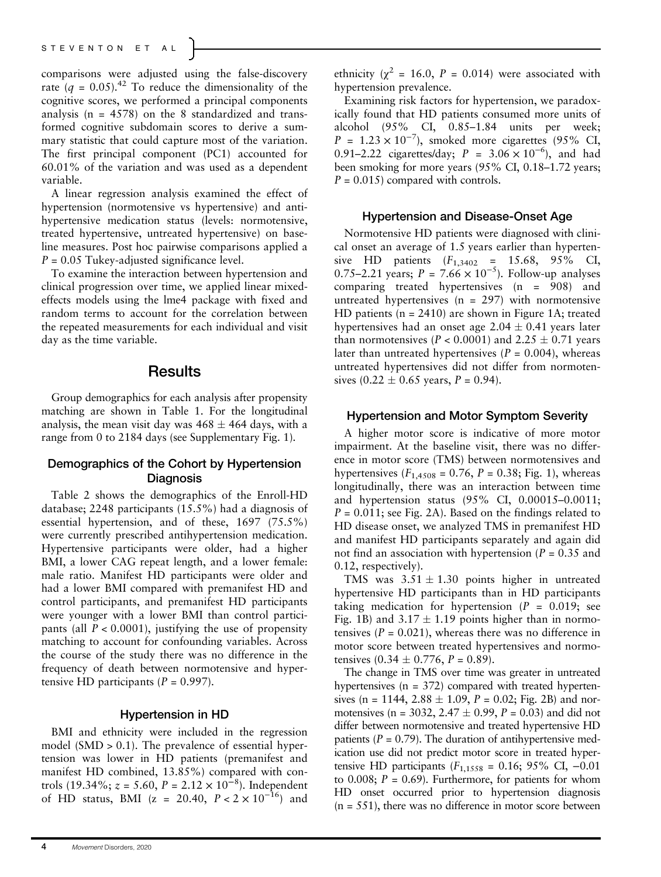comparisons were adjusted using the false-discovery rate  $(q = 0.05)$ .<sup>42</sup> To reduce the dimensionality of the cognitive scores, we performed a principal components analysis ( $n = 4578$ ) on the 8 standardized and transformed cognitive subdomain scores to derive a summary statistic that could capture most of the variation. The first principal component (PC1) accounted for 60.01% of the variation and was used as a dependent variable.

A linear regression analysis examined the effect of hypertension (normotensive vs hypertensive) and antihypertensive medication status (levels: normotensive, treated hypertensive, untreated hypertensive) on baseline measures. Post hoc pairwise comparisons applied a  $P = 0.05$  Tukey-adjusted significance level.

To examine the interaction between hypertension and clinical progression over time, we applied linear mixedeffects models using the lme4 package with fixed and random terms to account for the correlation between the repeated measurements for each individual and visit day as the time variable.

## Results

Group demographics for each analysis after propensity matching are shown in Table 1. For the longitudinal analysis, the mean visit day was  $468 \pm 464$  days, with a range from 0 to 2184 days (see Supplementary Fig. 1).

#### Demographics of the Cohort by Hypertension **Diagnosis**

Table 2 shows the demographics of the Enroll-HD database; 2248 participants (15.5%) had a diagnosis of essential hypertension, and of these, 1697 (75.5%) were currently prescribed antihypertension medication. Hypertensive participants were older, had a higher BMI, a lower CAG repeat length, and a lower female: male ratio. Manifest HD participants were older and had a lower BMI compared with premanifest HD and control participants, and premanifest HD participants were younger with a lower BMI than control participants (all  $P < 0.0001$ ), justifying the use of propensity matching to account for confounding variables. Across the course of the study there was no difference in the frequency of death between normotensive and hypertensive HD participants  $(P = 0.997)$ .

#### Hypertension in HD

BMI and ethnicity were included in the regression model (SMD  $> 0.1$ ). The prevalence of essential hypertension was lower in HD patients (premanifest and manifest HD combined, 13.85%) compared with controls (19.34%;  $z = 5.60$ ,  $P = 2.12 \times 10^{-8}$ ). Independent of HD status, BMI (z = 20.40,  $P < 2 \times 10^{-16}$ ) and

ethnicity ( $\chi^2$  = 16.0, P = 0.014) were associated with hypertension prevalence.

Examining risk factors for hypertension, we paradoxically found that HD patients consumed more units of alcohol (95% CI, 0.85–1.84 units per week;  $P = 1.23 \times 10^{-7}$ ), smoked more cigarettes (95% CI, 0.91–2.22 cigarettes/day;  $P = 3.06 \times 10^{-6}$ ), and had been smoking for more years (95% CI, 0.18–1.72 years;  $P = 0.015$ ) compared with controls.

#### Hypertension and Disease-Onset Age

Normotensive HD patients were diagnosed with clinical onset an average of 1.5 years earlier than hypertensive HD patients  $(F_{1,3402} = 15.68, 95\% \text{ CI},$ 0.75–2.21 years;  $P = 7.66 \times 10^{-5}$ ). Follow-up analyses comparing treated hypertensives (n = 908) and untreated hypertensives  $(n = 297)$  with normotensive HD patients (n = 2410) are shown in Figure 1A; treated hypertensives had an onset age  $2.04 \pm 0.41$  years later than normotensives ( $P < 0.0001$ ) and  $2.25 \pm 0.71$  years later than untreated hypertensives ( $P = 0.004$ ), whereas untreated hypertensives did not differ from normotensives  $(0.22 \pm 0.65$  years,  $P = 0.94$ ).

#### Hypertension and Motor Symptom Severity

A higher motor score is indicative of more motor impairment. At the baseline visit, there was no difference in motor score (TMS) between normotensives and hypertensives  $(F_{1,4508} = 0.76, P = 0.38; Fig. 1)$ , whereas longitudinally, there was an interaction between time and hypertension status (95% CI, 0.00015–0.0011;  $P = 0.011$ ; see Fig. 2A). Based on the findings related to HD disease onset, we analyzed TMS in premanifest HD and manifest HD participants separately and again did not find an association with hypertension ( $P = 0.35$  and 0.12, respectively).

TMS was  $3.51 \pm 1.30$  points higher in untreated hypertensive HD participants than in HD participants taking medication for hypertension  $(P = 0.019)$ ; see Fig. 1B) and  $3.17 \pm 1.19$  points higher than in normotensives ( $P = 0.021$ ), whereas there was no difference in motor score between treated hypertensives and normotensives  $(0.34 \pm 0.776, P = 0.89)$ .

The change in TMS over time was greater in untreated hypertensives  $(n = 372)$  compared with treated hypertensives (n = 1144,  $2.88 \pm 1.09$ ,  $P = 0.02$ ; Fig. 2B) and normotensives (n = 3032, 2.47  $\pm$  0.99, P = 0.03) and did not differ between normotensive and treated hypertensive HD patients ( $P = 0.79$ ). The duration of antihypertensive medication use did not predict motor score in treated hypertensive HD participants ( $F_{1,1558}$  = 0.16; 95% CI, -0.01 to 0.008;  $P = 0.69$ ). Furthermore, for patients for whom HD onset occurred prior to hypertension diagnosis  $(n = 551)$ , there was no difference in motor score between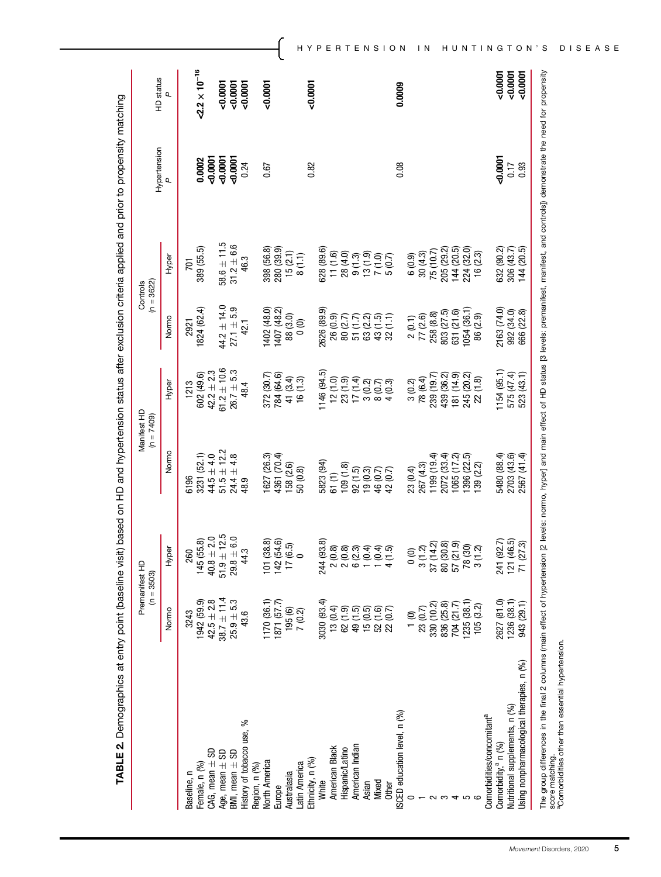| $58.6 \pm 11.5$<br>$31.2 + 6.6$<br>389 (55.5)<br>398 (56.8)<br>Hyper<br>46.3<br>$\overline{5}$<br>$44.2 \pm 14.0$<br>1824 (62.4)<br>$27.1 \pm 5.9$<br>1402 (48.0)<br>Normo<br>2921<br>42.1<br>$61.2 \pm 10.6$<br>$26.7 + 5.3$<br>$42.2 \pm 2.3$<br>602 (49.6)<br>372 (30.7)<br>Hyper<br>1213<br>48.4<br>$51.5 \pm 12.2$<br>Normo<br>3231 (52.1)<br>$44.5 \pm 4.0$<br>$24.4 \pm 4.8$<br>1627 (26.3)<br>6196<br>48.9<br>$40.8 \pm 2.0$<br>$51.9 \pm 12.5$<br>$29.8\pm6.0$<br>145 (55.8)<br>101 (38.8)<br>Hyper<br>44.3<br>260<br>$38.7 \pm 11.4$<br>$42.5 \pm 2.8$<br>$25.9 + 5.3$<br>1170 (36.1)<br>1942 (59.9)<br>Normo<br>43.6<br>3243<br>History of tobacco use, %<br>$CAG$ , mean $\pm$ SD<br>Age, mean $\pm$ SD<br>$BMI$ , mean $\pm$ SD<br>North America<br>Female, n (%)<br>Region, n (%)<br>Baseline, n | Hypertension<br>P | HD status<br>$\overline{a}$ |
|----------------------------------------------------------------------------------------------------------------------------------------------------------------------------------------------------------------------------------------------------------------------------------------------------------------------------------------------------------------------------------------------------------------------------------------------------------------------------------------------------------------------------------------------------------------------------------------------------------------------------------------------------------------------------------------------------------------------------------------------------------------------------------------------------------------|-------------------|-----------------------------|
|                                                                                                                                                                                                                                                                                                                                                                                                                                                                                                                                                                                                                                                                                                                                                                                                                |                   |                             |
|                                                                                                                                                                                                                                                                                                                                                                                                                                                                                                                                                                                                                                                                                                                                                                                                                |                   |                             |
|                                                                                                                                                                                                                                                                                                                                                                                                                                                                                                                                                                                                                                                                                                                                                                                                                | 0.0002            | $2.2 \times 10^{-16}$       |
|                                                                                                                                                                                                                                                                                                                                                                                                                                                                                                                                                                                                                                                                                                                                                                                                                | 0.0001<br>0.0001  | $-0.0001$                   |
|                                                                                                                                                                                                                                                                                                                                                                                                                                                                                                                                                                                                                                                                                                                                                                                                                | 0.0001            |                             |
|                                                                                                                                                                                                                                                                                                                                                                                                                                                                                                                                                                                                                                                                                                                                                                                                                | 0.24              | $-0.0001$<br>$-0.0001$      |
|                                                                                                                                                                                                                                                                                                                                                                                                                                                                                                                                                                                                                                                                                                                                                                                                                |                   |                             |
|                                                                                                                                                                                                                                                                                                                                                                                                                                                                                                                                                                                                                                                                                                                                                                                                                | 0.67              | $-0.0001$                   |
| 280 (39.9)<br>1407 (48.2)<br>784 (64.6)<br>4361 (70.4)<br>142 (54.6)<br>1871 (57.7)<br>Europe                                                                                                                                                                                                                                                                                                                                                                                                                                                                                                                                                                                                                                                                                                                  |                   |                             |
| 15(2.1)<br>88 (3.0)<br>41 (3.4)<br>158 (2.6)<br>17(6.5)<br>195 (6)<br>Australasia                                                                                                                                                                                                                                                                                                                                                                                                                                                                                                                                                                                                                                                                                                                              |                   |                             |
| 8(1.1)<br>$\overline{0}$<br>16(1.3)<br>50 (0.8)<br>7(0.2)<br>Latin America                                                                                                                                                                                                                                                                                                                                                                                                                                                                                                                                                                                                                                                                                                                                     |                   |                             |
| Ethnicity, n (%)                                                                                                                                                                                                                                                                                                                                                                                                                                                                                                                                                                                                                                                                                                                                                                                               | 0.82              | $-0.0001$                   |
| 628 (89.6)<br>2626 (89.9)<br>1146 (94.5)<br>5823 (94)<br>244 (93.8)<br>3030 (93.4)<br>White                                                                                                                                                                                                                                                                                                                                                                                                                                                                                                                                                                                                                                                                                                                    |                   |                             |
| 11(1.6)<br>26 (0.9)<br>12(1.0)<br>61 (1)<br>2(0.8)<br>13(0.4)<br>American Black                                                                                                                                                                                                                                                                                                                                                                                                                                                                                                                                                                                                                                                                                                                                |                   |                             |
| 28 (4.0)<br>80 (2.7)<br>23 (1.9)<br>$(8.1)$ 601<br>2(0.8)<br>Hispanic/Latino                                                                                                                                                                                                                                                                                                                                                                                                                                                                                                                                                                                                                                                                                                                                   |                   |                             |
| 9(1.3)<br>51(1.7)<br>17(1.4)<br>92(1.5)<br>American Indian                                                                                                                                                                                                                                                                                                                                                                                                                                                                                                                                                                                                                                                                                                                                                     |                   |                             |
| (1.9)<br>$\frac{1}{2}$<br>63 (2.2)<br>(0.2)<br>19(0.3)<br>$6(2.3)$<br>1(0.4)<br>Asian                                                                                                                                                                                                                                                                                                                                                                                                                                                                                                                                                                                                                                                                                                                          |                   |                             |
| 43 (1.5)<br>$\frac{1}{2}$ $\frac{1}{2}$<br>46 (0.7)<br>1(0.4)<br><b>Mixed</b>                                                                                                                                                                                                                                                                                                                                                                                                                                                                                                                                                                                                                                                                                                                                  |                   |                             |
| $7(1.0)$<br>5 (0.7)<br>32(1.1)<br>(0.7)<br>42 (0.7)<br>4(1.5)<br>Other                                                                                                                                                                                                                                                                                                                                                                                                                                                                                                                                                                                                                                                                                                                                         |                   |                             |
| ISCED education level, n (%)                                                                                                                                                                                                                                                                                                                                                                                                                                                                                                                                                                                                                                                                                                                                                                                   | 0.08              | 0.0009                      |
| 6(0.9)<br>2(0.1)<br>3(0.2)<br>23 (0.4)<br>$\frac{0}{0}$<br>$\frac{1}{1}$<br>0                                                                                                                                                                                                                                                                                                                                                                                                                                                                                                                                                                                                                                                                                                                                  |                   |                             |
| 30(4.3)<br>77 (2.6)<br>78 (6.4)<br>267 (4.3)<br>3(1.2)<br>23 (0.7)                                                                                                                                                                                                                                                                                                                                                                                                                                                                                                                                                                                                                                                                                                                                             |                   |                             |
| 75 (10.7)<br>258 (8.8)<br>239 (19.7<br>1199 (19.4)<br>37(14.2)<br>330 (10.2)                                                                                                                                                                                                                                                                                                                                                                                                                                                                                                                                                                                                                                                                                                                                   |                   |                             |
| 205 (29.2)<br>803 (27.5)<br>631 (21.6)<br>80 (30.8)<br>57 (21.9)<br>836 (25.8)<br>704 (21.7)                                                                                                                                                                                                                                                                                                                                                                                                                                                                                                                                                                                                                                                                                                                   |                   |                             |
| 144 (20.5)<br>439 (36.2)<br>181 (14.9)<br>2072 (33.4)<br>1065 (17.2)                                                                                                                                                                                                                                                                                                                                                                                                                                                                                                                                                                                                                                                                                                                                           |                   |                             |
| 224 (32.0)<br>1054 (36.1)<br>245 (20.2)<br>1396 (22.5)<br>78 (30)<br>1235(38.1)<br>23456                                                                                                                                                                                                                                                                                                                                                                                                                                                                                                                                                                                                                                                                                                                       |                   |                             |
| 16(2.3)<br>86 (2.9)<br>(1.8)<br>$\overline{2}$<br>(2.2)<br>3(1.2)<br>105(3.2)                                                                                                                                                                                                                                                                                                                                                                                                                                                                                                                                                                                                                                                                                                                                  |                   |                             |
| 632 (90.2)<br>2163 (74.0)<br>1154 (95.1)<br>5480 (88.4)<br>2627 (81.0)<br>Comorbidities/concomitant <sup>a</sup><br>Comorbidity, <sup>a</sup> n (%)                                                                                                                                                                                                                                                                                                                                                                                                                                                                                                                                                                                                                                                            | $-0.0001$         | $-0.0001$                   |
| 306 (43.7)<br>992 (34.0)<br>575 (47.4)<br>2703 (43.6)<br>1236 (38.1)<br>Nutritional supplements, n (%)                                                                                                                                                                                                                                                                                                                                                                                                                                                                                                                                                                                                                                                                                                         | 0.17              | $-0.0007$                   |
| 144 (20.5)<br>666 (22.8)<br>523 (43.1)<br>2567 (41.4)<br>241 (92.7)<br>121 (46.5)<br>71 (27.3)<br>943 (29.1)<br>Using nonpharmacological therapies, n (%)                                                                                                                                                                                                                                                                                                                                                                                                                                                                                                                                                                                                                                                      | 0.93              | $-0.0001$                   |

 $\overline{\mathcal{L}}$ 

Movement Disorders, 2020 5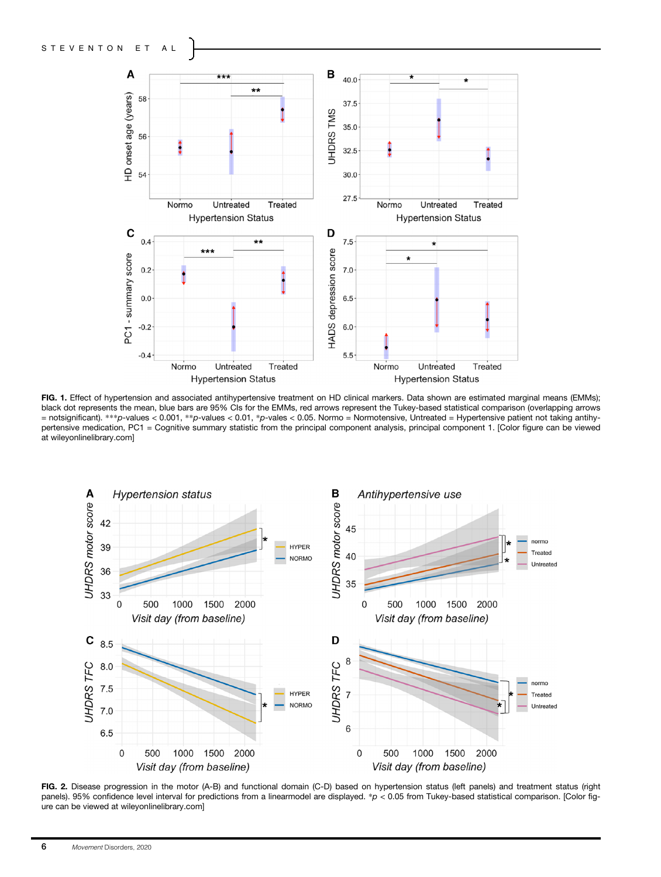

FIG. 1. Effect of hypertension and associated antihypertensive treatment on HD clinical markers. Data shown are estimated marginal means (EMMs); black dot represents the mean, blue bars are 95% CIs for the EMMs, red arrows represent the Tukey-based statistical comparison (overlapping arrows = notsignificant). \*\*\*p-values < 0.001, \*\*p-values < 0.01, \*p-vales < 0.05. Normo = Normotensive, Untreated = Hypertensive patient not taking antihypertensive medication, PC1 = Cognitive summary statistic from the principal component analysis, principal component 1. [Color figure can be viewed at [wileyonlinelibrary.com](http://wileyonlinelibrary.com)]



FIG. 2. Disease progression in the motor (A-B) and functional domain (C-D) based on hypertension status (left panels) and treatment status (right panels). 95% confidence level interval for predictions from a linearmodel are displayed. \*p < 0.05 from Tukey-based statistical comparison. [Color figure can be viewed at [wileyonlinelibrary.com](http://wileyonlinelibrary.com)]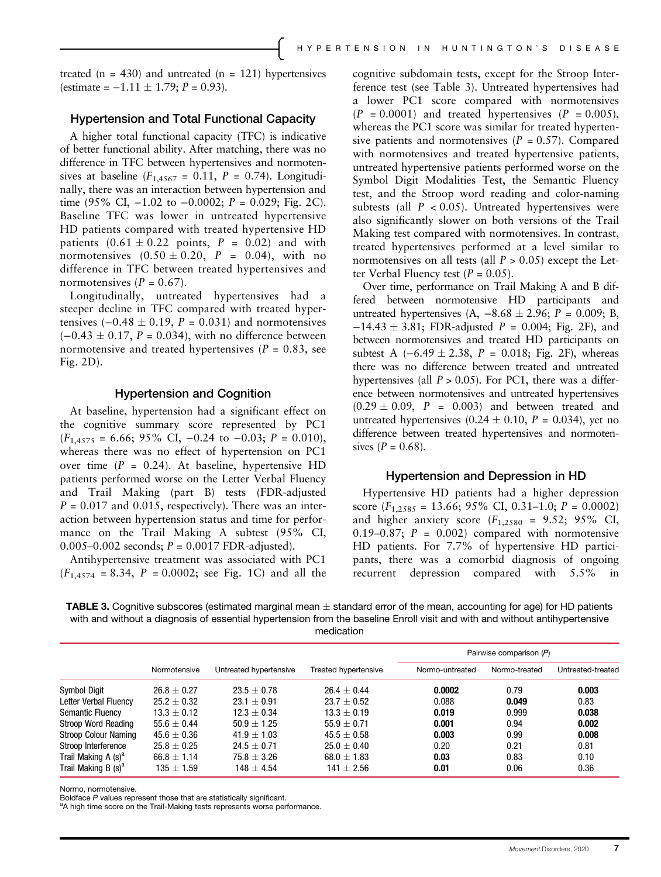treated  $(n = 430)$  and untreated  $(n = 121)$  hypertensives  $\text{(estimate} = -1.11 \pm 1.79; P = 0.93).$ 

#### Hypertension and Total Functional Capacity

A higher total functional capacity (TFC) is indicative of better functional ability. After matching, there was no difference in TFC between hypertensives and normotensives at baseline  $(F_{1,4567} = 0.11, P = 0.74)$ . Longitudinally, there was an interaction between hypertension and time (95% CI,  $-1.02$  to  $-0.0002$ ;  $P = 0.029$ ; Fig. 2C). Baseline TFC was lower in untreated hypertensive HD patients compared with treated hypertensive HD patients  $(0.61 \pm 0.22)$  points,  $P = 0.02$  and with normotensives  $(0.50 \pm 0.20, P = 0.04)$ , with no difference in TFC between treated hypertensives and normotensives  $(P = 0.67)$ .

Longitudinally, untreated hypertensives had a steeper decline in TFC compared with treated hypertensives  $(-0.48 \pm 0.19, P = 0.031)$  and normotensives  $(-0.43 \pm 0.17, P = 0.034)$ , with no difference between normotensive and treated hypertensives ( $P = 0.83$ , see Fig. 2D).

#### Hypertension and Cognition

At baseline, hypertension had a significant effect on the cognitive summary score represented by PC1  $(F_{1,4575} = 6.66; 95\% \text{ CI}, -0.24 \text{ to } -0.03; P = 0.010),$ whereas there was no effect of hypertension on PC1 over time  $(P = 0.24)$ . At baseline, hypertensive HD patients performed worse on the Letter Verbal Fluency and Trail Making (part B) tests (FDR-adjusted  $P = 0.017$  and 0.015, respectively). There was an interaction between hypertension status and time for performance on the Trail Making A subtest (95% CI, 0.005–0.002 seconds;  $P = 0.0017$  FDR-adjusted).

Antihypertensive treatment was associated with PC1  $(F_{1,4574} = 8.34, P = 0.0002;$  see Fig. 1C) and all the cognitive subdomain tests, except for the Stroop Interference test (see Table 3). Untreated hypertensives had a lower PC1 score compared with normotensives  $(P = 0.0001)$  and treated hypertensives  $(P = 0.005)$ , whereas the PC1 score was similar for treated hypertensive patients and normotensives  $(P = 0.57)$ . Compared with normotensives and treated hypertensive patients, untreated hypertensive patients performed worse on the Symbol Digit Modalities Test, the Semantic Fluency test, and the Stroop word reading and color-naming subtests (all  $P < 0.05$ ). Untreated hypertensives were also significantly slower on both versions of the Trail Making test compared with normotensives. In contrast, treated hypertensives performed at a level similar to normotensives on all tests (all  $P > 0.05$ ) except the Letter Verbal Fluency test ( $P = 0.05$ ).

Over time, performance on Trail Making A and B differed between normotensive HD participants and untreated hypertensives (A,  $-8.68 \pm 2.96$ ; P = 0.009; B,  $-14.43 \pm 3.81$ ; FDR-adjusted  $P = 0.004$ ; Fig. 2F), and between normotensives and treated HD participants on subtest A  $(-6.49 \pm 2.38, P = 0.018; Fig. 2F)$ , whereas there was no difference between treated and untreated hypertensives (all  $P > 0.05$ ). For PC1, there was a difference between normotensives and untreated hypertensives  $(0.29 \pm 0.09, P = 0.003)$  and between treated and untreated hypertensives  $(0.24 \pm 0.10, P = 0.034)$ , yet no difference between treated hypertensives and normotensives ( $P = 0.68$ ).

#### Hypertension and Depression in HD

Hypertensive HD patients had a higher depression score ( $F_{1,2585}$  = 13.66; 95% CI, 0.31–1.0;  $P = 0.0002$ ) and higher anxiety score  $(F_{1,2580} = 9.52; 95\% \text{ CI},$ 0.19–0.87;  $P = 0.002$  compared with normotensive HD patients. For 7.7% of hypertensive HD participants, there was a comorbid diagnosis of ongoing recurrent depression compared with 5.5% in

| <b>TABLE 3.</b> Cognitive subscores (estimated marginal mean $\pm$ standard error of the mean, accounting for age) for HD patients |
|------------------------------------------------------------------------------------------------------------------------------------|
| with and without a diagnosis of essential hypertension from the baseline Enroll visit and with and without antihypertensive        |
| medication                                                                                                                         |

|                                 |                 | Untreated hypertensive | Treated hypertensive | Pairwise comparison (P) |               |                   |
|---------------------------------|-----------------|------------------------|----------------------|-------------------------|---------------|-------------------|
|                                 | Normotensive    |                        |                      | Normo-untreated         | Normo-treated | Untreated-treated |
| <b>Symbol Digit</b>             | $26.8 + 0.27$   | $23.5 + 0.78$          | $26.4 + 0.44$        | 0.0002                  | 0.79          | 0.003             |
| Letter Verbal Fluency           | $25.2 \pm 0.32$ | $23.1 + 0.91$          | $23.7 + 0.52$        | 0.088                   | 0.049         | 0.83              |
| Semantic Fluency                | $13.3 \pm 0.12$ | $12.3 \pm 0.34$        | $13.3 + 0.19$        | 0.019                   | 0.999         | 0.038             |
| <b>Stroop Word Reading</b>      | $55.6 + 0.44$   | $50.9 + 1.25$          | $55.9 + 0.71$        | 0.001                   | 0.94          | 0.002             |
| Stroop Colour Naming            | $45.6 + 0.36$   | $41.9 + 1.03$          | $45.5 + 0.58$        | 0.003                   | 0.99          | 0.008             |
| Stroop Interference             | $25.8 + 0.25$   | $24.5 + 0.71$          | $25.0 + 0.40$        | 0.20                    | 0.21          | 0.81              |
| Trail Making A (s) <sup>a</sup> | $66.8 + 1.14$   | $75.8 + 3.26$          | $68.0 + 1.83$        | 0.03                    | 0.83          | 0.10              |
| Trail Making B (s) <sup>a</sup> | $135 \pm 1.59$  | $148 + 4.54$           | $141 \pm 2.56$       | 0.01                    | 0.06          | 0.36              |

Normo, normotensive.

Boldface  $P$  values represent those that are statistically significant.

<sup>a</sup>A high time score on the Trail-Making tests represents worse performance.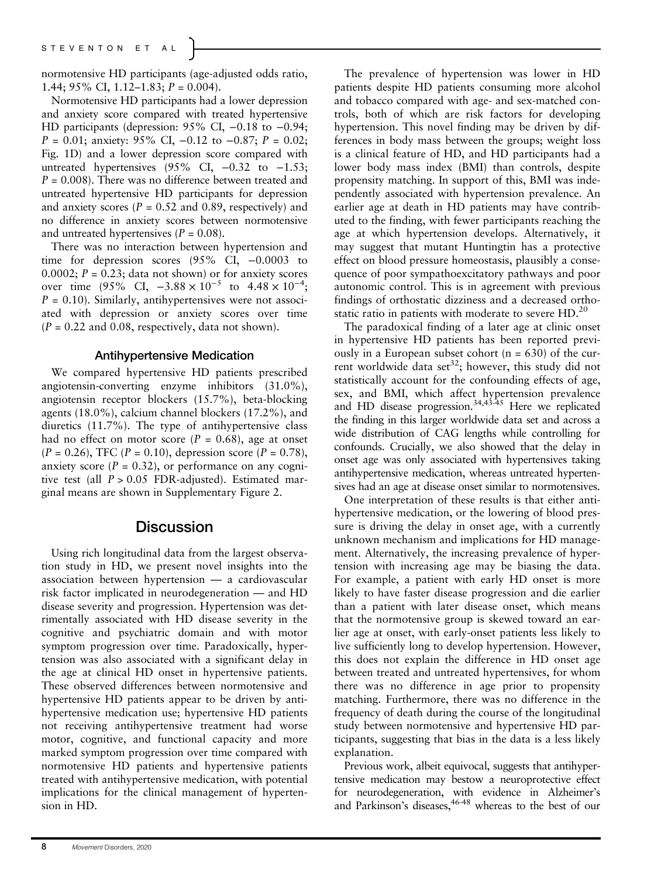normotensive HD participants (age-adjusted odds ratio, 1.44;  $95\%$  CI,  $1.12-1.83$ ;  $P = 0.004$ ).

Normotensive HD participants had a lower depression and anxiety score compared with treated hypertensive HD participants (depression: 95% CI, -0.18 to -0.94;  $P = 0.01$ ; anxiety: 95% CI, -0.12 to -0.87;  $P = 0.02$ ; Fig. 1D) and a lower depression score compared with untreated hypertensives  $(95\% \text{ CI}, -0.32 \text{ to } -1.53;$  $P = 0.008$ ). There was no difference between treated and untreated hypertensive HD participants for depression and anxiety scores ( $P = 0.52$  and 0.89, respectively) and no difference in anxiety scores between normotensive and untreated hypertensives  $(P = 0.08)$ .

There was no interaction between hypertension and time for depression scores  $(95\% \text{ CI}, -0.0003 \text{ to})$ 0.0002;  $P = 0.23$ ; data not shown) or for anxiety scores over time  $(95\% \text{ CI}, -3.88 \times 10^{-5} \text{ to } 4.48 \times 10^{-4})$ ;  $P = 0.10$ ). Similarly, antihypertensives were not associated with depression or anxiety scores over time  $(P = 0.22$  and 0.08, respectively, data not shown).

#### Antihypertensive Medication

We compared hypertensive HD patients prescribed angiotensin-converting enzyme inhibitors (31.0%), angiotensin receptor blockers (15.7%), beta-blocking agents (18.0%), calcium channel blockers (17.2%), and diuretics (11.7%). The type of antihypertensive class had no effect on motor score  $(P = 0.68)$ , age at onset  $(P = 0.26)$ , TFC  $(P = 0.10)$ , depression score  $(P = 0.78)$ , anxiety score  $(P = 0.32)$ , or performance on any cognitive test (all  $P > 0.05$  FDR-adjusted). Estimated marginal means are shown in Supplementary Figure 2.

## **Discussion**

Using rich longitudinal data from the largest observation study in HD, we present novel insights into the association between hypertension — a cardiovascular risk factor implicated in neurodegeneration — and HD disease severity and progression. Hypertension was detrimentally associated with HD disease severity in the cognitive and psychiatric domain and with motor symptom progression over time. Paradoxically, hypertension was also associated with a significant delay in the age at clinical HD onset in hypertensive patients. These observed differences between normotensive and hypertensive HD patients appear to be driven by antihypertensive medication use; hypertensive HD patients not receiving antihypertensive treatment had worse motor, cognitive, and functional capacity and more marked symptom progression over time compared with normotensive HD patients and hypertensive patients treated with antihypertensive medication, with potential implications for the clinical management of hypertension in HD.

The prevalence of hypertension was lower in HD patients despite HD patients consuming more alcohol and tobacco compared with age- and sex-matched controls, both of which are risk factors for developing hypertension. This novel finding may be driven by differences in body mass between the groups; weight loss is a clinical feature of HD, and HD participants had a lower body mass index (BMI) than controls, despite propensity matching. In support of this, BMI was independently associated with hypertension prevalence. An earlier age at death in HD patients may have contributed to the finding, with fewer participants reaching the age at which hypertension develops. Alternatively, it may suggest that mutant Huntingtin has a protective effect on blood pressure homeostasis, plausibly a consequence of poor sympathoexcitatory pathways and poor autonomic control. This is in agreement with previous findings of orthostatic dizziness and a decreased orthostatic ratio in patients with moderate to severe  $HD.^{20}$ 

The paradoxical finding of a later age at clinic onset in hypertensive HD patients has been reported previously in a European subset cohort ( $n = 630$ ) of the current worldwide data set<sup>32</sup>; however, this study did not statistically account for the confounding effects of age, sex, and BMI, which affect hypertension prevalence and HD disease progression.<sup>34,43-45</sup> Here we replicated the finding in this larger worldwide data set and across a wide distribution of CAG lengths while controlling for confounds. Crucially, we also showed that the delay in onset age was only associated with hypertensives taking antihypertensive medication, whereas untreated hypertensives had an age at disease onset similar to normotensives.

One interpretation of these results is that either antihypertensive medication, or the lowering of blood pressure is driving the delay in onset age, with a currently unknown mechanism and implications for HD management. Alternatively, the increasing prevalence of hypertension with increasing age may be biasing the data. For example, a patient with early HD onset is more likely to have faster disease progression and die earlier than a patient with later disease onset, which means that the normotensive group is skewed toward an earlier age at onset, with early-onset patients less likely to live sufficiently long to develop hypertension. However, this does not explain the difference in HD onset age between treated and untreated hypertensives, for whom there was no difference in age prior to propensity matching. Furthermore, there was no difference in the frequency of death during the course of the longitudinal study between normotensive and hypertensive HD participants, suggesting that bias in the data is a less likely explanation.

Previous work, albeit equivocal, suggests that antihypertensive medication may bestow a neuroprotective effect for neurodegeneration, with evidence in Alzheimer's and Parkinson's diseases,<sup>46-48</sup> whereas to the best of our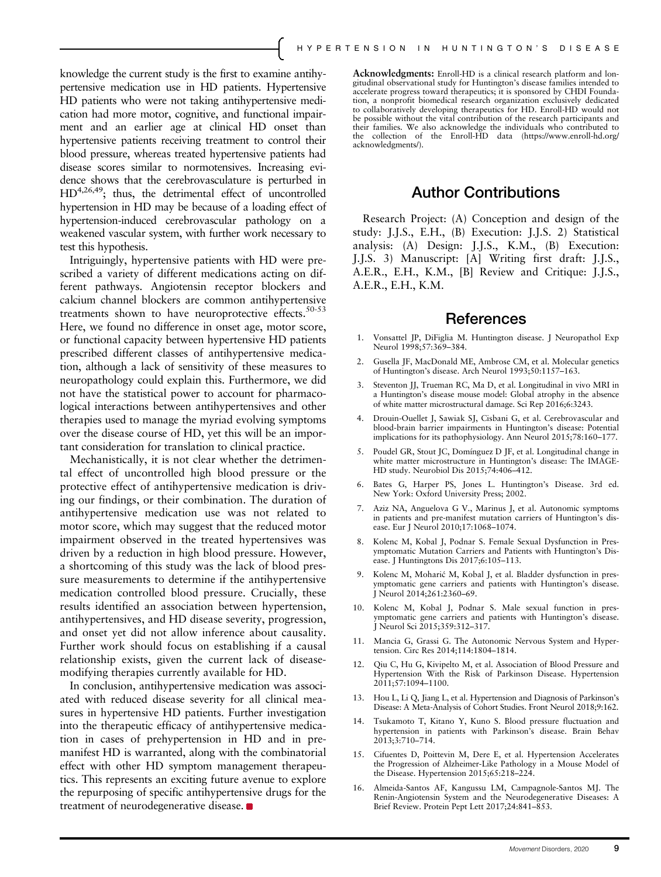knowledge the current study is the first to examine antihypertensive medication use in HD patients. Hypertensive HD patients who were not taking antihypertensive medication had more motor, cognitive, and functional impairment and an earlier age at clinical HD onset than hypertensive patients receiving treatment to control their blood pressure, whereas treated hypertensive patients had disease scores similar to normotensives. Increasing evidence shows that the cerebrovasculature is perturbed in HD<sup>4,26,49</sup>; thus, the detrimental effect of uncontrolled hypertension in HD may be because of a loading effect of hypertension-induced cerebrovascular pathology on a weakened vascular system, with further work necessary to test this hypothesis.

Intriguingly, hypertensive patients with HD were prescribed a variety of different medications acting on different pathways. Angiotensin receptor blockers and calcium channel blockers are common antihypertensive treatments shown to have neuroprotective effects. $50-53$ Here, we found no difference in onset age, motor score, or functional capacity between hypertensive HD patients prescribed different classes of antihypertensive medication, although a lack of sensitivity of these measures to neuropathology could explain this. Furthermore, we did not have the statistical power to account for pharmacological interactions between antihypertensives and other therapies used to manage the myriad evolving symptoms over the disease course of HD, yet this will be an important consideration for translation to clinical practice.

Mechanistically, it is not clear whether the detrimental effect of uncontrolled high blood pressure or the protective effect of antihypertensive medication is driving our findings, or their combination. The duration of antihypertensive medication use was not related to motor score, which may suggest that the reduced motor impairment observed in the treated hypertensives was driven by a reduction in high blood pressure. However, a shortcoming of this study was the lack of blood pressure measurements to determine if the antihypertensive medication controlled blood pressure. Crucially, these results identified an association between hypertension, antihypertensives, and HD disease severity, progression, and onset yet did not allow inference about causality. Further work should focus on establishing if a causal relationship exists, given the current lack of diseasemodifying therapies currently available for HD.

In conclusion, antihypertensive medication was associated with reduced disease severity for all clinical measures in hypertensive HD patients. Further investigation into the therapeutic efficacy of antihypertensive medication in cases of prehypertension in HD and in premanifest HD is warranted, along with the combinatorial effect with other HD symptom management therapeutics. This represents an exciting future avenue to explore the repurposing of specific antihypertensive drugs for the treatment of neurodegenerative disease.

Acknowledgments: Enroll-HD is a clinical research platform and longitudinal observational study for Huntington's disease families intended to accelerate progress toward therapeutics; it is sponsored by CHDI Foundation, a nonprofit biomedical research organization exclusively dedicated to collaboratively developing therapeutics for HD. Enroll-HD would not be possible without the vital contribution of the research participants and their families. We also acknowledge the individuals who contributed to the collection of the Enroll-HD data [\(https://www.enroll-hd.org/](https://www.enroll-hd.org/acknowledgments/) [acknowledgments/](https://www.enroll-hd.org/acknowledgments/)).

### Author Contributions

Research Project: (A) Conception and design of the study: J.J.S., E.H., (B) Execution: J.J.S. 2) Statistical analysis: (A) Design: J.J.S., K.M., (B) Execution: J.J.S. 3) Manuscript: [A] Writing first draft: J.J.S., A.E.R., E.H., K.M., [B] Review and Critique: J.J.S., A.E.R., E.H., K.M.

## **References**

- 1. Vonsattel JP, DiFiglia M. Huntington disease. J Neuropathol Exp Neurol 1998;57:369–384.
- 2. Gusella JF, MacDonald ME, Ambrose CM, et al. Molecular genetics of Huntington's disease. Arch Neurol 1993;50:1157–163.
- Steventon JJ, Trueman RC, Ma D, et al. Longitudinal in vivo MRI in a Huntington's disease mouse model: Global atrophy in the absence of white matter microstructural damage. Sci Rep 2016;6:3243.
- 4. Drouin-Ouellet J, Sawiak SJ, Cisbani G, et al. Cerebrovascular and blood-brain barrier impairments in Huntington's disease: Potential implications for its pathophysiology. Ann Neurol 2015;78:160–177.
- 5. Poudel GR, Stout JC, Domínguez D JF, et al. Longitudinal change in white matter microstructure in Huntington's disease: The IMAGE-HD study. Neurobiol Dis 2015;74:406–412.
- 6. Bates G, Harper PS, Jones L. Huntington's Disease. 3rd ed. New York: Oxford University Press; 2002.
- Aziz NA, Anguelova G V., Marinus J, et al. Autonomic symptoms in patients and pre-manifest mutation carriers of Huntington's disease. Eur J Neurol 2010;17:1068–1074.
- 8. Kolenc M, Kobal J, Podnar S. Female Sexual Dysfunction in Presymptomatic Mutation Carriers and Patients with Huntington's Disease. J Huntingtons Dis 2017;6:105–113.
- 9. Kolenc M, Moharić M, Kobal J, et al. Bladder dysfunction in presymptomatic gene carriers and patients with Huntington's disease. J Neurol 2014;261:2360–69.
- Kolenc M, Kobal J, Podnar S. Male sexual function in presymptomatic gene carriers and patients with Huntington's disease. J Neurol Sci 2015;359:312–317.
- 11. Mancia G, Grassi G. The Autonomic Nervous System and Hypertension. Circ Res 2014;114:1804–1814.
- Qiu C, Hu G, Kivipelto M, et al. Association of Blood Pressure and Hypertension With the Risk of Parkinson Disease. Hypertension 2011;57:1094–1100.
- 13. Hou L, Li Q, Jiang L, et al. Hypertension and Diagnosis of Parkinson's Disease: A Meta-Analysis of Cohort Studies. Front Neurol 2018;9:162.
- 14. Tsukamoto T, Kitano Y, Kuno S. Blood pressure fluctuation and hypertension in patients with Parkinson's disease. Brain Behav 2013;3:710–714.
- 15. Cifuentes D, Poittevin M, Dere E, et al. Hypertension Accelerates the Progression of Alzheimer-Like Pathology in a Mouse Model of the Disease. Hypertension 2015;65:218–224.
- 16. Almeida-Santos AF, Kangussu LM, Campagnole-Santos MJ. The Renin-Angiotensin System and the Neurodegenerative Diseases: A Brief Review. Protein Pept Lett 2017;24:841–853.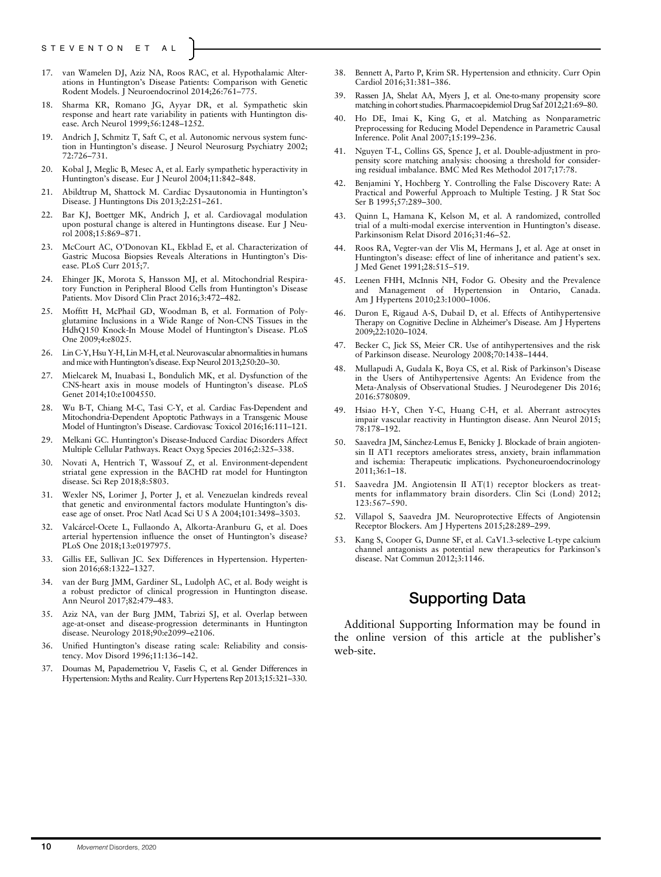- 17. van Wamelen DJ, Aziz NA, Roos RAC, et al. Hypothalamic Alterations in Huntington's Disease Patients: Comparison with Genetic Rodent Models. J Neuroendocrinol 2014;26:761–775.
- 18. Sharma KR, Romano JG, Ayyar DR, et al. Sympathetic skin response and heart rate variability in patients with Huntington disease. Arch Neurol 1999;56:1248–1252.
- Andrich J, Schmitz T, Saft C, et al. Autonomic nervous system function in Huntington's disease. J Neurol Neurosurg Psychiatry 2002; 72:726–731.
- 20. Kobal J, Meglic B, Mesec A, et al. Early sympathetic hyperactivity in Huntington's disease. Eur J Neurol 2004;11:842–848.
- 21. Abildtrup M, Shattock M. Cardiac Dysautonomia in Huntington's Disease. J Huntingtons Dis 2013;2:251–261.
- 22. Bar KJ, Boettger MK, Andrich J, et al. Cardiovagal modulation upon postural change is altered in Huntingtons disease. Eur J Neurol 2008;15:869–871.
- 23. McCourt AC, O'Donovan KL, Ekblad E, et al. Characterization of Gastric Mucosa Biopsies Reveals Alterations in Huntington's Disease. PLoS Curr 2015;7.
- 24. Ehinger JK, Morota S, Hansson MJ, et al. Mitochondrial Respiratory Function in Peripheral Blood Cells from Huntington's Disease Patients. Mov Disord Clin Pract 2016;3:472–482.
- 25. Moffitt H, McPhail GD, Woodman B, et al. Formation of Polyglutamine Inclusions in a Wide Range of Non-CNS Tissues in the HdhQ150 Knock-In Mouse Model of Huntington's Disease. PLoS One 2009;4:e8025.
- 26. Lin C-Y, Hsu Y-H, LinM-H, et al. Neurovascular abnormalities in humans and mice with Huntington's disease. Exp Neurol 2013;250:20–30.
- 27. Mielcarek M, Inuabasi L, Bondulich MK, et al. Dysfunction of the CNS-heart axis in mouse models of Huntington's disease. PLoS Genet 2014;10:e1004550.
- 28. Wu B-T, Chiang M-C, Tasi C-Y, et al. Cardiac Fas-Dependent and Mitochondria-Dependent Apoptotic Pathways in a Transgenic Mouse Model of Huntington's Disease. Cardiovasc Toxicol 2016;16:111–121.
- 29. Melkani GC. Huntington's Disease-Induced Cardiac Disorders Affect Multiple Cellular Pathways. React Oxyg Species 2016;2:325–338.
- 30. Novati A, Hentrich T, Wassouf Z, et al. Environment-dependent striatal gene expression in the BACHD rat model for Huntington disease. Sci Rep 2018;8:5803.
- 31. Wexler NS, Lorimer J, Porter J, et al. Venezuelan kindreds reveal that genetic and environmental factors modulate Huntington's disease age of onset. Proc Natl Acad Sci U S A 2004;101:3498–3503.
- 32. Valcárcel-Ocete L, Fullaondo A, Alkorta-Aranburu G, et al. Does arterial hypertension influence the onset of Huntington's disease? PLoS One 2018;13:e0197975.
- 33. Gillis EE, Sullivan JC. Sex Differences in Hypertension. Hypertension 2016;68:1322–1327.
- 34. van der Burg JMM, Gardiner SL, Ludolph AC, et al. Body weight is a robust predictor of clinical progression in Huntington disease. Ann Neurol 2017;82:479–483.
- 35. Aziz NA, van der Burg JMM, Tabrizi SJ, et al. Overlap between age-at-onset and disease-progression determinants in Huntington disease. Neurology 2018;90:e2099–e2106.
- 36. Unified Huntington's disease rating scale: Reliability and consistency. Mov Disord 1996;11:136–142.
- Doumas M, Papademetriou V, Faselis C, et al. Gender Differences in Hypertension: Myths and Reality. Curr Hypertens Rep 2013;15:321–330.
- 38. Bennett A, Parto P, Krim SR. Hypertension and ethnicity. Curr Opin Cardiol 2016;31:381–386.
- 39. Rassen JA, Shelat AA, Myers J, et al. One-to-many propensity score matching in cohort studies. Pharmacoepidemiol Drug Saf 2012;21:69–80.
- 40. Ho DE, Imai K, King G, et al. Matching as Nonparametric Preprocessing for Reducing Model Dependence in Parametric Causal Inference. Polit Anal 2007;15:199–236.
- 41. Nguyen T-L, Collins GS, Spence J, et al. Double-adjustment in propensity score matching analysis: choosing a threshold for considering residual imbalance. BMC Med Res Methodol 2017;17:78.
- 42. Benjamini Y, Hochberg Y. Controlling the False Discovery Rate: A Practical and Powerful Approach to Multiple Testing. J R Stat Soc Ser B 1995;57:289–300.
- 43. Quinn L, Hamana K, Kelson M, et al. A randomized, controlled trial of a multi-modal exercise intervention in Huntington's disease. Parkinsonism Relat Disord 2016;31:46–52.
- 44. Roos RA, Vegter-van der Vlis M, Hermans J, et al. Age at onset in Huntington's disease: effect of line of inheritance and patient's sex. J Med Genet 1991;28:515–519.
- 45. Leenen FHH, McInnis NH, Fodor G. Obesity and the Prevalence and Management of Hypertension in Ontario, Canada. Am J Hypertens 2010;23:1000–1006.
- 46. Duron E, Rigaud A-S, Dubail D, et al. Effects of Antihypertensive Therapy on Cognitive Decline in Alzheimer's Disease. Am J Hypertens 2009;22:1020–1024.
- 47. Becker C, Jick SS, Meier CR. Use of antihypertensives and the risk of Parkinson disease. Neurology 2008;70:1438–1444.
- 48. Mullapudi A, Gudala K, Boya CS, et al. Risk of Parkinson's Disease in the Users of Antihypertensive Agents: An Evidence from the Meta-Analysis of Observational Studies. J Neurodegener Dis 2016; 2016:5780809.
- 49. Hsiao H-Y, Chen Y-C, Huang C-H, et al. Aberrant astrocytes impair vascular reactivity in Huntington disease. Ann Neurol 2015; 78:178–192.
- 50. Saavedra JM, Sánchez-Lemus E, Benicky J. Blockade of brain angiotensin II AT1 receptors ameliorates stress, anxiety, brain inflammation and ischemia: Therapeutic implications. Psychoneuroendocrinology 2011;36:1–18.
- 51. Saavedra JM. Angiotensin II AT(1) receptor blockers as treatments for inflammatory brain disorders. Clin Sci (Lond) 2012; 123:567–590.
- 52. Villapol S, Saavedra JM. Neuroprotective Effects of Angiotensin Receptor Blockers. Am J Hypertens 2015;28:289–299.
- 53. Kang S, Cooper G, Dunne SF, et al. CaV1.3-selective L-type calcium channel antagonists as potential new therapeutics for Parkinson's disease. Nat Commun 2012;3:1146.

## Supporting Data

Additional Supporting Information may be found in the online version of this article at the publisher's web-site.